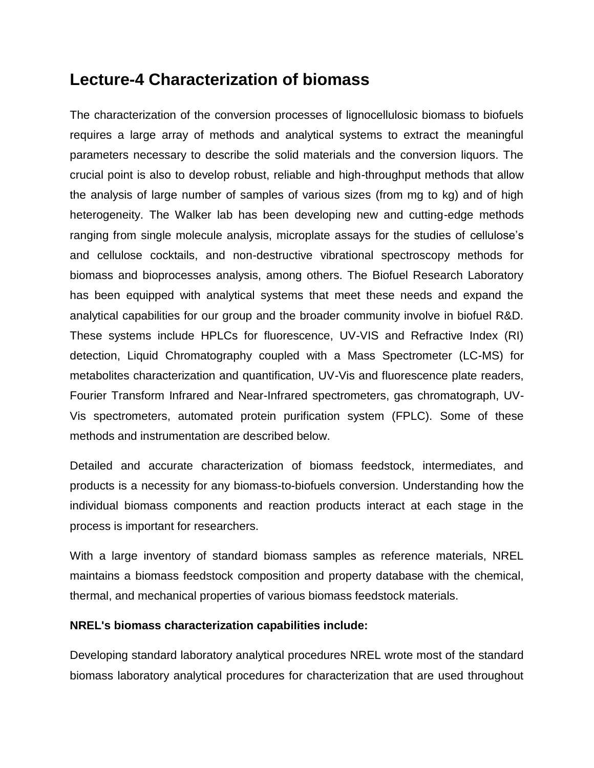# **Lecture-4 Characterization of biomass**

The characterization of the conversion processes of lignocellulosic biomass to biofuels requires a large array of methods and analytical systems to extract the meaningful parameters necessary to describe the solid materials and the conversion liquors. The crucial point is also to develop robust, reliable and high-throughput methods that allow the analysis of large number of samples of various sizes (from mg to kg) and of high heterogeneity. The Walker lab has been developing new and cutting-edge methods ranging from single molecule analysis, microplate assays for the studies of cellulose's and cellulose cocktails, and non-destructive vibrational spectroscopy methods for biomass and bioprocesses analysis, among others. The Biofuel Research Laboratory has been equipped with analytical systems that meet these needs and expand the analytical capabilities for our group and the broader community involve in biofuel R&D. These systems include HPLCs for fluorescence, UV-VIS and Refractive Index (RI) detection, Liquid Chromatography coupled with a Mass Spectrometer (LC-MS) for metabolites characterization and quantification, UV-Vis and fluorescence plate readers, Fourier Transform Infrared and Near-Infrared spectrometers, gas chromatograph, UV-Vis spectrometers, automated protein purification system (FPLC). Some of these methods and instrumentation are described below.

Detailed and accurate characterization of biomass feedstock, intermediates, and products is a necessity for any biomass-to-biofuels conversion. Understanding how the individual biomass components and reaction products interact at each stage in the process is important for researchers.

With a large inventory of standard biomass samples as reference materials, NREL maintains a biomass feedstock composition and property database with the chemical, thermal, and mechanical properties of various biomass feedstock materials.

#### **NREL's biomass characterization capabilities include:**

Developing standard laboratory analytical procedures NREL wrote most of the standard biomass laboratory analytical procedures for characterization that are used throughout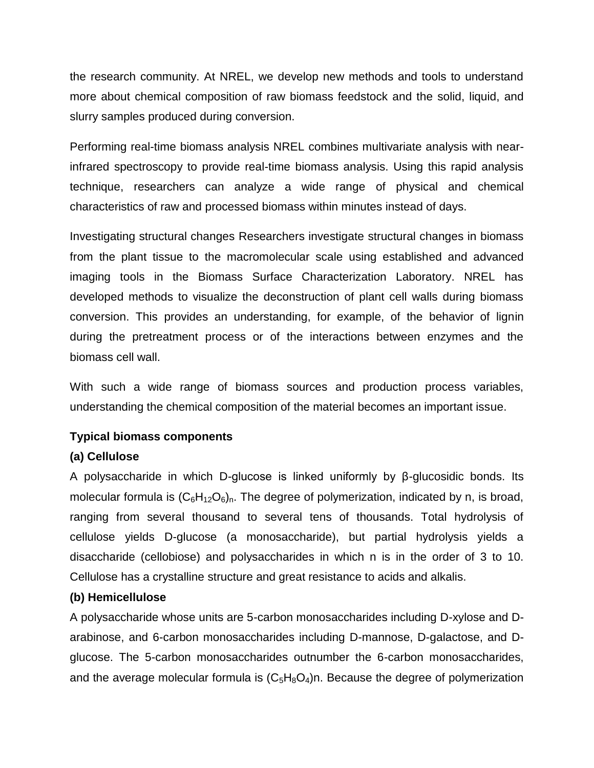the research community. At NREL, we develop new methods and tools to understand more about chemical composition of raw biomass feedstock and the solid, liquid, and slurry samples produced during conversion.

Performing real-time biomass analysis NREL combines multivariate analysis with nearinfrared spectroscopy to provide real-time biomass analysis. Using this rapid analysis technique, researchers can analyze a wide range of physical and chemical characteristics of raw and processed biomass within minutes instead of days.

Investigating structural changes Researchers investigate structural changes in biomass from the plant tissue to the macromolecular scale using established and advanced imaging tools in the Biomass Surface Characterization Laboratory. NREL has developed methods to visualize the deconstruction of plant cell walls during biomass conversion. This provides an understanding, for example, of the behavior of lignin during the pretreatment process or of the interactions between enzymes and the biomass cell wall.

With such a wide range of biomass sources and production process variables, understanding the chemical composition of the material becomes an important issue.

# **Typical biomass components**

# **(a) Cellulose**

A polysaccharide in which D-glucose is linked uniformly by β-glucosidic bonds. Its molecular formula is  $(C_6H_{12}O_6)_n$ . The degree of polymerization, indicated by n, is broad, ranging from several thousand to several tens of thousands. Total hydrolysis of cellulose yields D-glucose (a monosaccharide), but partial hydrolysis yields a disaccharide (cellobiose) and polysaccharides in which n is in the order of 3 to 10. Cellulose has a crystalline structure and great resistance to acids and alkalis.

# **(b) Hemicellulose**

A polysaccharide whose units are 5-carbon monosaccharides including D-xylose and Darabinose, and 6-carbon monosaccharides including D-mannose, D-galactose, and Dglucose. The 5-carbon monosaccharides outnumber the 6-carbon monosaccharides, and the average molecular formula is  $(C_5H_8O_4)$ n. Because the degree of polymerization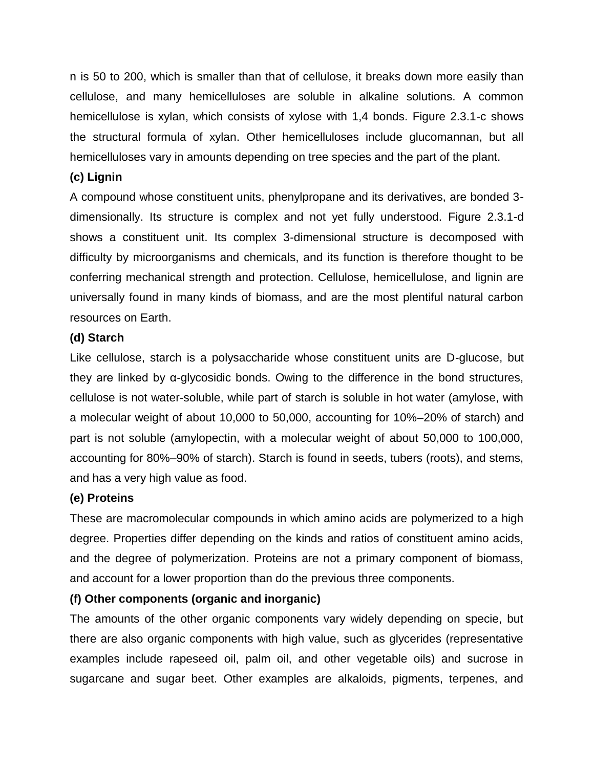n is 50 to 200, which is smaller than that of cellulose, it breaks down more easily than cellulose, and many hemicelluloses are soluble in alkaline solutions. A common hemicellulose is xylan, which consists of xylose with 1,4 bonds. Figure 2.3.1-c shows the structural formula of xylan. Other hemicelluloses include glucomannan, but all hemicelluloses vary in amounts depending on tree species and the part of the plant.

#### **(c) Lignin**

A compound whose constituent units, phenylpropane and its derivatives, are bonded 3 dimensionally. Its structure is complex and not yet fully understood. Figure 2.3.1-d shows a constituent unit. Its complex 3-dimensional structure is decomposed with difficulty by microorganisms and chemicals, and its function is therefore thought to be conferring mechanical strength and protection. Cellulose, hemicellulose, and lignin are universally found in many kinds of biomass, and are the most plentiful natural carbon resources on Earth.

#### **(d) Starch**

Like cellulose, starch is a polysaccharide whose constituent units are D-glucose, but they are linked by α-glycosidic bonds. Owing to the difference in the bond structures, cellulose is not water-soluble, while part of starch is soluble in hot water (amylose, with a molecular weight of about 10,000 to 50,000, accounting for 10%–20% of starch) and part is not soluble (amylopectin, with a molecular weight of about 50,000 to 100,000, accounting for 80%–90% of starch). Starch is found in seeds, tubers (roots), and stems, and has a very high value as food.

#### **(e) Proteins**

These are macromolecular compounds in which amino acids are polymerized to a high degree. Properties differ depending on the kinds and ratios of constituent amino acids, and the degree of polymerization. Proteins are not a primary component of biomass, and account for a lower proportion than do the previous three components.

# **(f) Other components (organic and inorganic)**

The amounts of the other organic components vary widely depending on specie, but there are also organic components with high value, such as glycerides (representative examples include rapeseed oil, palm oil, and other vegetable oils) and sucrose in sugarcane and sugar beet. Other examples are alkaloids, pigments, terpenes, and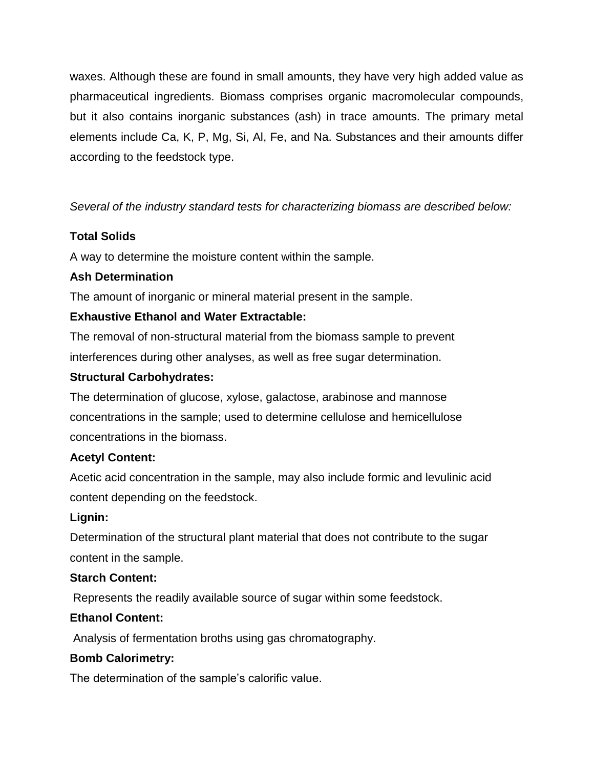waxes. Although these are found in small amounts, they have very high added value as pharmaceutical ingredients. Biomass comprises organic macromolecular compounds, but it also contains inorganic substances (ash) in trace amounts. The primary metal elements include Ca, K, P, Mg, Si, Al, Fe, and Na. Substances and their amounts differ according to the feedstock type.

*Several of the industry standard tests for characterizing biomass are described below:*

# **Total Solids**

A way to determine the moisture content within the sample.

# **Ash Determination**

The amount of inorganic or mineral material present in the sample.

# **Exhaustive Ethanol and Water Extractable:**

The removal of non-structural material from the biomass sample to prevent interferences during other analyses, as well as free sugar determination.

# **Structural Carbohydrates:**

The determination of glucose, xylose, galactose, arabinose and mannose concentrations in the sample; used to determine cellulose and hemicellulose concentrations in the biomass.

# **Acetyl Content:**

Acetic acid concentration in the sample, may also include formic and levulinic acid content depending on the feedstock.

# **Lignin:**

Determination of the structural plant material that does not contribute to the sugar content in the sample.

# **Starch Content:**

Represents the readily available source of sugar within some feedstock.

# **Ethanol Content:**

Analysis of fermentation broths using gas chromatography.

# **Bomb Calorimetry:**

The determination of the sample's calorific value.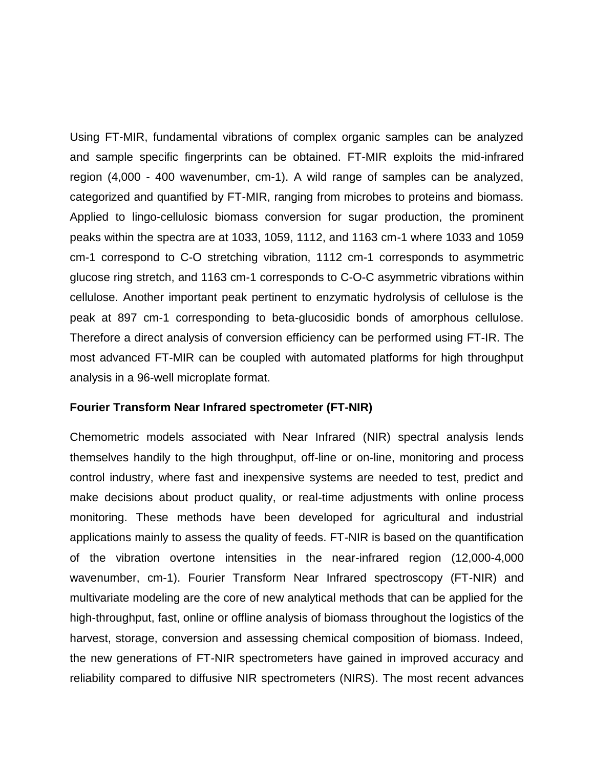Using FT-MIR, fundamental vibrations of complex organic samples can be analyzed and sample specific fingerprints can be obtained. FT-MIR exploits the mid-infrared region (4,000 - 400 wavenumber, cm-1). A wild range of samples can be analyzed, categorized and quantified by FT-MIR, ranging from microbes to proteins and biomass. Applied to lingo-cellulosic biomass conversion for sugar production, the prominent peaks within the spectra are at 1033, 1059, 1112, and 1163 cm-1 where 1033 and 1059 cm-1 correspond to C-O stretching vibration, 1112 cm-1 corresponds to asymmetric glucose ring stretch, and 1163 cm-1 corresponds to C-O-C asymmetric vibrations within cellulose. Another important peak pertinent to enzymatic hydrolysis of cellulose is the peak at 897 cm-1 corresponding to beta-glucosidic bonds of amorphous cellulose. Therefore a direct analysis of conversion efficiency can be performed using FT-IR. The most advanced FT-MIR can be coupled with automated platforms for high throughput analysis in a 96-well microplate format.

#### **Fourier Transform Near Infrared spectrometer (FT-NIR)**

Chemometric models associated with Near Infrared (NIR) spectral analysis lends themselves handily to the high throughput, off-line or on-line, monitoring and process control industry, where fast and inexpensive systems are needed to test, predict and make decisions about product quality, or real-time adjustments with online process monitoring. These methods have been developed for agricultural and industrial applications mainly to assess the quality of feeds. FT-NIR is based on the quantification of the vibration overtone intensities in the near-infrared region (12,000-4,000 wavenumber, cm-1). Fourier Transform Near Infrared spectroscopy (FT-NIR) and multivariate modeling are the core of new analytical methods that can be applied for the high-throughput, fast, online or offline analysis of biomass throughout the logistics of the harvest, storage, conversion and assessing chemical composition of biomass. Indeed, the new generations of FT-NIR spectrometers have gained in improved accuracy and reliability compared to diffusive NIR spectrometers (NIRS). The most recent advances